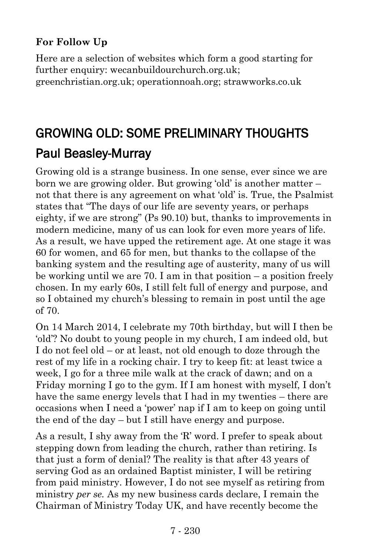### **For Follow Up**

Here are a selection of websites which form a good starting for further enquiry: wecanbuildourchurch.org.uk: greenchristian.org.uk; operationnoah.org; strawworks.co.uk

# GROWING OLD: SOME PRELIMINARY THOUGHTS [Paul Beasley-Murray](https://www.ministrytoday.org.uk/magazine/authors/423/)

Growing old is a strange business. In one sense, ever since we are born we are growing older. But growing 'old' is another matter – not that there is any agreement on what 'old' is. True, the Psalmist states that "The days of our life are seventy years, or perhaps eighty, if we are strong" (Ps 90.10) but, thanks to improvements in modern medicine, many of us can look for even more years of life. As a result, we have upped the retirement age. At one stage it was 60 for women, and 65 for men, but thanks to the collapse of the banking system and the resulting age of austerity, many of us will be working until we are 70. I am in that position  $-$  a position freely chosen. In my early 60s, I still felt full of energy and purpose, and so I obtained my church's blessing to remain in post until the age of 70.

On 14 March 2014, I celebrate my 70th birthday, but will I then be 'old'? No doubt to young people in my church, I am indeed old, but I do not feel old – or at least, not old enough to doze through the rest of my life in a rocking chair. I try to keep fit: at least twice a week, I go for a three mile walk at the crack of dawn; and on a Friday morning I go to the gym. If I am honest with myself, I don't have the same energy levels that I had in my twenties – there are occasions when I need a 'power' nap if I am to keep on going until the end of the day – but I still have energy and purpose.

As a result, I shy away from the 'R' word. I prefer to speak about stepping down from leading the church, rather than retiring. Is that just a form of denial? The reality is that after 43 years of serving God as an ordained Baptist minister, I will be retiring from paid ministry. However, I do not see myself as retiring from ministry *per se.* As my new business cards declare, I remain the Chairman of Ministry Today UK, and have recently become the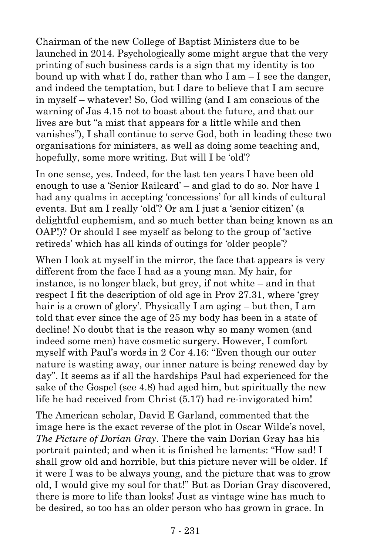Chairman of the new College of Baptist Ministers due to be launched in 2014. Psychologically some might argue that the very printing of such business cards is a sign that my identity is too bound up with what I do, rather than who I am  $-$  I see the danger, and indeed the temptation, but I dare to believe that I am secure in myself – whatever! So, God willing (and I am conscious of the warning of Jas 4.15 not to boast about the future, and that our lives are but "a mist that appears for a little while and then vanishes"), I shall continue to serve God, both in leading these two organisations for ministers, as well as doing some teaching and, hopefully, some more writing. But will I be 'old'?

In one sense, yes. Indeed, for the last ten years I have been old enough to use a 'Senior Railcard' – and glad to do so. Nor have I had any qualms in accepting 'concessions' for all kinds of cultural events. But am I really 'old'? Or am I just a 'senior citizen' (a delightful euphemism, and so much better than being known as an OAP!)? Or should I see myself as belong to the group of 'active retireds' which has all kinds of outings for 'older people'?

When I look at myself in the mirror, the face that appears is very different from the face I had as a young man. My hair, for instance, is no longer black, but grey, if not white – and in that respect I fit the description of old age in Prov 27.31, where 'grey hair is a crown of glory'. Physically I am aging – but then, I am told that ever since the age of 25 my body has been in a state of decline! No doubt that is the reason why so many women (and indeed some men) have cosmetic surgery. However, I comfort myself with Paul's words in 2 Cor 4.16: "Even though our outer nature is wasting away, our inner nature is being renewed day by day". It seems as if all the hardships Paul had experienced for the sake of the Gospel (see 4.8) had aged him, but spiritually the new life he had received from Christ (5.17) had re-invigorated him!

The American scholar, David E Garland, commented that the image here is the exact reverse of the plot in Oscar Wilde's novel, *The Picture of Dorian Gray*. There the vain Dorian Gray has his portrait painted; and when it is finished he laments: "How sad! I shall grow old and horrible, but this picture never will be older. If it were I was to be always young, and the picture that was to grow old, I would give my soul for that!" But as Dorian Gray discovered, there is more to life than looks! Just as vintage wine has much to be desired, so too has an older person who has grown in grace. In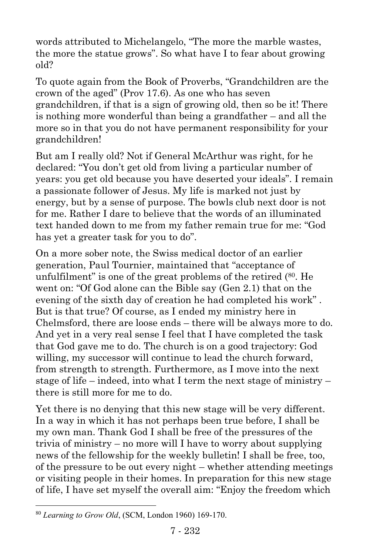words attributed to Michelangelo, "The more the marble wastes, the more the statue grows". So what have I to fear about growing old?

To quote again from the Book of Proverbs, "Grandchildren are the crown of the aged" (Prov 17.6). As one who has seven grandchildren, if that is a sign of growing old, then so be it! There is nothing more wonderful than being a grandfather – and all the more so in that you do not have permanent responsibility for your grandchildren!

But am I really old? Not if General McArthur was right, for he declared: "You don't get old from living a particular number of years: you get old because you have deserted your ideals". I remain a passionate follower of Jesus. My life is marked not just by energy, but by a sense of purpose. The bowls club next door is not for me. Rather I dare to believe that the words of an illuminated text handed down to me from my father remain true for me: "God has yet a greater task for you to do".

On a more sober note, the Swiss medical doctor of an earlier generation, Paul Tournier, maintained that "acceptance of unfulfilment" is one of the great problems of the retired (80. He went on: "Of God alone can the Bible say (Gen 2.1) that on the evening of the sixth day of creation he had completed his work" . But is that true? Of course, as I ended my ministry here in Chelmsford, there are loose ends – there will be always more to do. And yet in a very real sense I feel that I have completed the task that God gave me to do. The church is on a good trajectory: God willing, my successor will continue to lead the church forward, from strength to strength. Furthermore, as I move into the next stage of life – indeed, into what I term the next stage of ministry – there is still more for me to do.

Yet there is no denying that this new stage will be very different. In a way in which it has not perhaps been true before, I shall be my own man. Thank God I shall be free of the pressures of the trivia of ministry – no more will I have to worry about supplying news of the fellowship for the weekly bulletin! I shall be free, too, of the pressure to be out every night – whether attending meetings or visiting people in their homes. In preparation for this new stage of life, I have set myself the overall aim: "Enjoy the freedom which

 $\overline{a}$ 

<sup>80</sup> *Learning to Grow Old*, (SCM, London 1960) 169-170.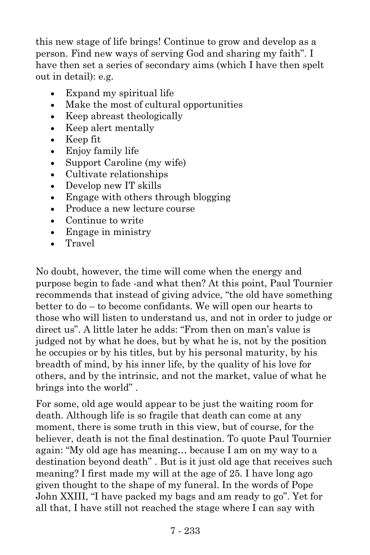this new stage of life brings! Continue to grow and develop as a person. Find new ways of serving God and sharing my faith". I have then set a series of secondary aims (which I have then spelt out in detail): e.g.

- Expand my spiritual life
- Make the most of cultural opportunities
- Keep abreast theologically
- Keep alert mentally
- Keep fit
- Enjoy family life
- Support Caroline (my wife)
- Cultivate relationships
- Develop new IT skills
- Engage with others through blogging
- Produce a new lecture course
- Continue to write
- Engage in ministry
- Travel

No doubt, however, the time will come when the energy and purpose begin to fade -and what then? At this point, Paul Tournier recommends that instead of giving advice, "the old have something better to do – to become confidants. We will open our hearts to those who will listen to understand us, and not in order to judge or direct us". A little later he adds: "From then on man's value is judged not by what he does, but by what he is, not by the position he occupies or by his titles, but by his personal maturity, by his breadth of mind, by his inner life, by the quality of his love for others, and by the intrinsic, and not the market, value of what he brings into the world" .

For some, old age would appear to be just the waiting room for death. Although life is so fragile that death can come at any moment, there is some truth in this view, but of course, for the believer, death is not the final destination. To quote Paul Tournier again: "My old age has meaning… because I am on my way to a destination beyond death" . But is it just old age that receives such meaning? I first made my will at the age of 25. I have long ago given thought to the shape of my funeral. In the words of Pope John XXIII, "I have packed my bags and am ready to go". Yet for all that, I have still not reached the stage where I can say with